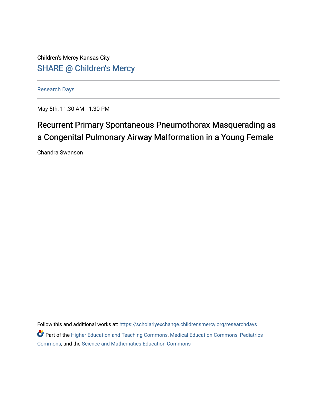Children's Mercy Kansas City SHARE @ Children's Mercy

[Research Days](https://scholarlyexchange.childrensmercy.org/researchdays)

May 5th, 11:30 AM - 1:30 PM

## Recurrent Primary Spontaneous Pneumothorax Masquerading as a Congenital Pulmonary Airway Malformation in a Young Female

Chandra Swanson

Follow this and additional works at: [https://scholarlyexchange.childrensmercy.org/researchdays](https://scholarlyexchange.childrensmercy.org/researchdays?utm_source=scholarlyexchange.childrensmercy.org%2Fresearchdays%2FGME_Research_Days_2021%2Fresearchday1%2F1&utm_medium=PDF&utm_campaign=PDFCoverPages)  Part of the [Higher Education and Teaching Commons](http://network.bepress.com/hgg/discipline/806?utm_source=scholarlyexchange.childrensmercy.org%2Fresearchdays%2FGME_Research_Days_2021%2Fresearchday1%2F1&utm_medium=PDF&utm_campaign=PDFCoverPages), [Medical Education Commons](http://network.bepress.com/hgg/discipline/1125?utm_source=scholarlyexchange.childrensmercy.org%2Fresearchdays%2FGME_Research_Days_2021%2Fresearchday1%2F1&utm_medium=PDF&utm_campaign=PDFCoverPages), [Pediatrics](http://network.bepress.com/hgg/discipline/700?utm_source=scholarlyexchange.childrensmercy.org%2Fresearchdays%2FGME_Research_Days_2021%2Fresearchday1%2F1&utm_medium=PDF&utm_campaign=PDFCoverPages)  [Commons](http://network.bepress.com/hgg/discipline/700?utm_source=scholarlyexchange.childrensmercy.org%2Fresearchdays%2FGME_Research_Days_2021%2Fresearchday1%2F1&utm_medium=PDF&utm_campaign=PDFCoverPages), and the [Science and Mathematics Education Commons](http://network.bepress.com/hgg/discipline/800?utm_source=scholarlyexchange.childrensmercy.org%2Fresearchdays%2FGME_Research_Days_2021%2Fresearchday1%2F1&utm_medium=PDF&utm_campaign=PDFCoverPages)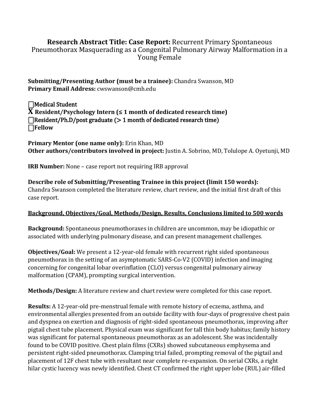## **Research Abstract Title: Case Report:** Recurrent Primary Spontaneous Pneumothorax Masquerading as a Congenital Pulmonary Airway Malformation in a Young Female

**Submitting/Presenting Author (must be a trainee):** Chandra Swanson, MD **Primary Email Address:** cwswanson@cmh.edu

⎕Medical Student **X Resident/Psychology Intern (≤ 1 month of dedicated research time)**   $\Box$ Resident/Ph.D/post graduate ( $> 1$  month of dedicated research time) ⎕**Fellow** 

**Primary Mentor (one name only):** Erin Khan, MD **Other authors/contributors involved in project:** Justin A. Sobrino, MD, Tolulope A. Oyetunji, MD

**IRB Number:** None – case report not requiring IRB approval

**Describe role of Submitting/Presenting Trainee in this project (limit 150 words):** Chandra Swanson completed the literature review, chart review, and the initial first draft of this case report.

## **Background, Objectives/Goal, Methods/Design, Results, Conclusions limited to 500 words**

**Background:** Spontaneous pneumothoraxes in children are uncommon, may be idiopathic or associated with underlying pulmonary disease, and can present management challenges.

**Objectives/Goal:** We present a 12-year-old female with recurrent right sided spontaneous pneumothorax in the setting of an asymptomatic SARS-Co-V2 (COVID) infection and imaging concerning for congenital lobar overinflation (CLO) versus congenital pulmonary airway malformation (CPAM), prompting surgical intervention.

**Methods/Design:** A literature review and chart review were completed for this case report.

**Results:** A 12-year-old pre-menstrual female with remote history of eczema, asthma, and environmental allergies presented from an outside facility with four-days of progressive chest pain and dyspnea on exertion and diagnosis of right-sided spontaneous pneumothorax, improving after pigtail chest tube placement. Physical exam was significant for tall thin body habitus; family history was significant for paternal spontaneous pneumothorax as an adolescent. She was incidentally found to be COVID positive. Chest plain films (CXRs) showed subcutaneous emphysema and persistent right-sided pneumothorax. Clamping trial failed, prompting removal of the pigtail and placement of 12F chest tube with resultant near complete re-expansion. On serial CXRs, a right hilar cystic lucency was newly identified. Chest CT confirmed the right upper lobe (RUL) air-filled